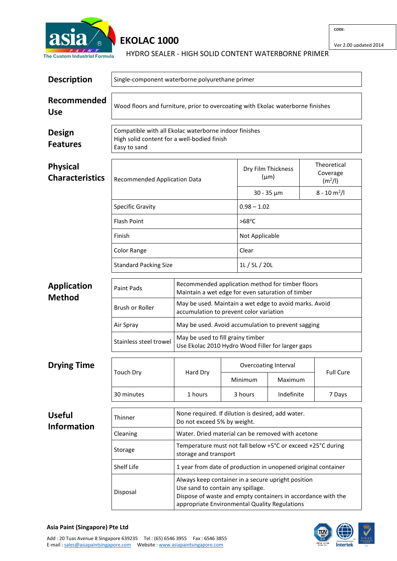

## **EKOLAC 1000**

HYDRO SEALER - HIGH SOLID CONTENT WATERBORNE PRIMER

| <b>Description</b>                        | Single-component waterborne polyurethane primer                                                                      |                                                                                                       |                                                                                                                                                                     |                                                                                                         |            |                  |                                      |  |  |
|-------------------------------------------|----------------------------------------------------------------------------------------------------------------------|-------------------------------------------------------------------------------------------------------|---------------------------------------------------------------------------------------------------------------------------------------------------------------------|---------------------------------------------------------------------------------------------------------|------------|------------------|--------------------------------------|--|--|
| Recommended<br><b>Use</b>                 | Wood floors and furniture, prior to overcoating with Ekolac waterborne finishes                                      |                                                                                                       |                                                                                                                                                                     |                                                                                                         |            |                  |                                      |  |  |
| Design<br><b>Features</b>                 | Compatible with all Ekolac waterborne indoor finishes<br>High solid content for a well-bodied finish<br>Easy to sand |                                                                                                       |                                                                                                                                                                     |                                                                                                         |            |                  |                                      |  |  |
| <b>Physical</b><br><b>Characteristics</b> | Recommended Application Data<br><b>Specific Gravity</b>                                                              |                                                                                                       |                                                                                                                                                                     | Dry Film Thickness<br>$(\mu m)$                                                                         |            |                  | Theoretical<br>Coverage<br>$(m^2/l)$ |  |  |
|                                           |                                                                                                                      |                                                                                                       |                                                                                                                                                                     | $30 - 35 \mu m$                                                                                         |            |                  | $8 - 10 \text{ m}^2$ /l              |  |  |
|                                           |                                                                                                                      |                                                                                                       |                                                                                                                                                                     | $0.98 - 1.02$                                                                                           |            |                  |                                      |  |  |
|                                           | <b>Flash Point</b>                                                                                                   |                                                                                                       | $>68^{\circ}$ C                                                                                                                                                     |                                                                                                         |            |                  |                                      |  |  |
|                                           | Finish                                                                                                               |                                                                                                       | Not Applicable                                                                                                                                                      |                                                                                                         |            |                  |                                      |  |  |
|                                           | <b>Color Range</b>                                                                                                   |                                                                                                       |                                                                                                                                                                     |                                                                                                         | Clear      |                  |                                      |  |  |
|                                           | <b>Standard Packing Size</b>                                                                                         |                                                                                                       |                                                                                                                                                                     | 1L/5L/20L                                                                                               |            |                  |                                      |  |  |
| <b>Application</b><br><b>Method</b>       | <b>Paint Pads</b>                                                                                                    | Recommended application method for timber floors<br>Maintain a wet edge for even saturation of timber |                                                                                                                                                                     |                                                                                                         |            |                  |                                      |  |  |
|                                           | Brush or Roller                                                                                                      | May be used. Maintain a wet edge to avoid marks. Avoid<br>accumulation to prevent color variation     |                                                                                                                                                                     |                                                                                                         |            |                  |                                      |  |  |
|                                           | Air Spray                                                                                                            |                                                                                                       |                                                                                                                                                                     | May be used. Avoid accumulation to prevent sagging<br>Use Ekolac 2010 Hydro Wood Filler for larger gaps |            |                  |                                      |  |  |
|                                           | Stainless steel trowel                                                                                               | May be used to fill grainy timber                                                                     |                                                                                                                                                                     |                                                                                                         |            |                  |                                      |  |  |
| <b>Drying Time</b>                        | <b>Touch Dry</b>                                                                                                     | Hard Dry                                                                                              |                                                                                                                                                                     | Overcoating Interval                                                                                    |            |                  |                                      |  |  |
|                                           |                                                                                                                      |                                                                                                       |                                                                                                                                                                     | Minimum<br>Maximum                                                                                      |            | <b>Full Cure</b> |                                      |  |  |
|                                           | 30 minutes                                                                                                           | 1 hours                                                                                               | 3 hours                                                                                                                                                             |                                                                                                         | Indefinite |                  | 7 Days                               |  |  |
| <b>Useful</b><br><b>Information</b>       | Thinner                                                                                                              | None required. If dilution is desired, add water.<br>Do not exceed 5% by weight.                      |                                                                                                                                                                     |                                                                                                         |            |                  |                                      |  |  |
|                                           | Cleaning                                                                                                             | Water. Dried material can be removed with acetone                                                     |                                                                                                                                                                     |                                                                                                         |            |                  |                                      |  |  |
|                                           | Storage                                                                                                              | Temperature must not fall below +5°C or exceed +25°C during<br>storage and transport                  |                                                                                                                                                                     |                                                                                                         |            |                  |                                      |  |  |
|                                           | Shelf Life                                                                                                           |                                                                                                       |                                                                                                                                                                     | 1 year from date of production in unopened original container                                           |            |                  |                                      |  |  |
|                                           | Disposal                                                                                                             | Use sand to contain any spillage.                                                                     | Always keep container in a secure upright position<br>Dispose of waste and empty containers in accordance with the<br>appropriate Environmental Quality Regulations |                                                                                                         |            |                  |                                      |  |  |